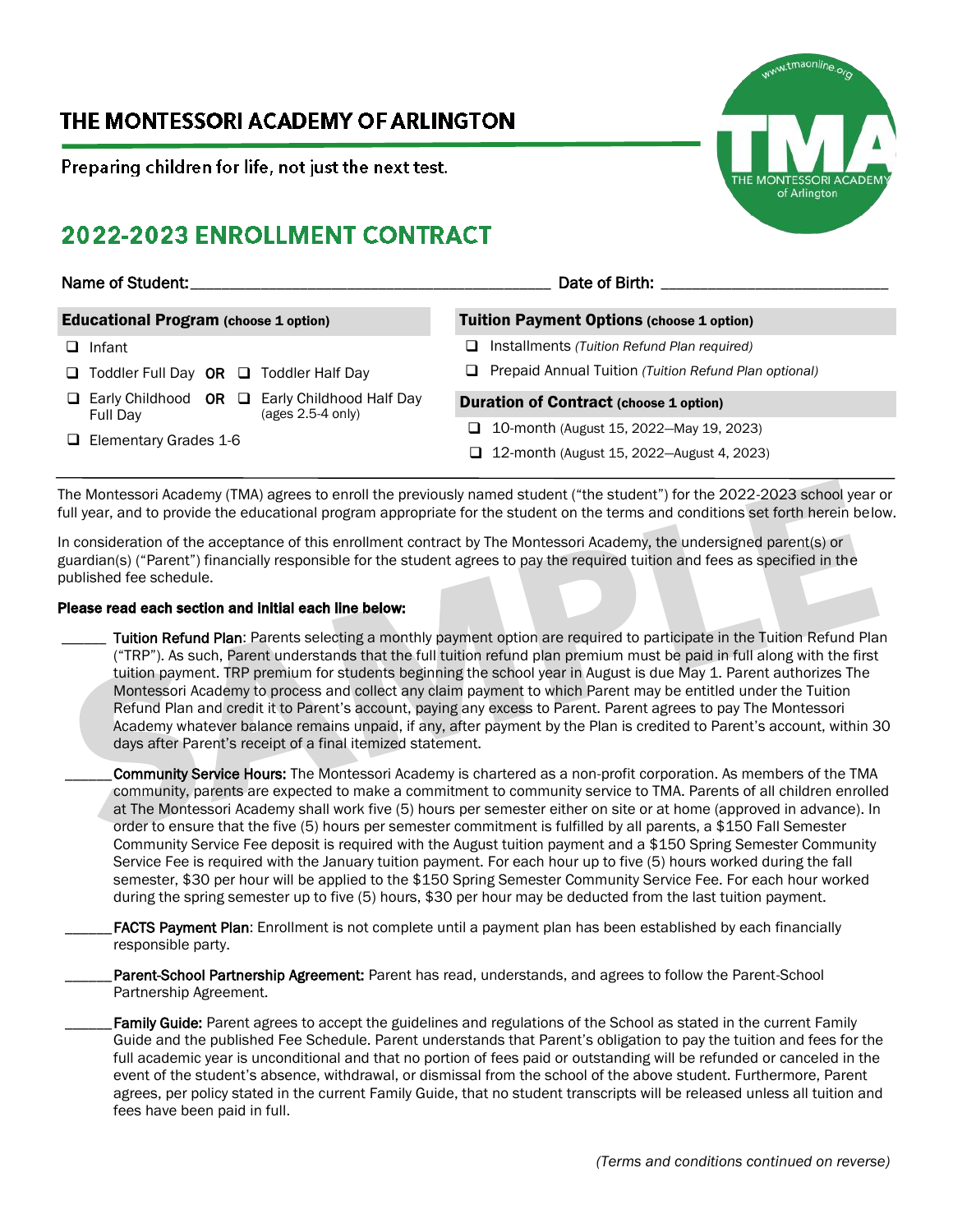## THE MONTESSORI ACADEMY OF ARLINGTON

Preparing children for life, not just the next test.

# 2022-2023 ENROLLMENT CONTRACT

#### Name of Student:\_\_\_\_\_\_\_\_\_\_\_\_\_\_\_\_\_\_\_\_\_\_\_\_\_\_\_\_\_\_\_\_\_\_\_\_\_\_\_\_\_\_\_\_\_\_ Date of Birth: \_\_\_\_\_\_\_\_\_\_\_\_\_\_\_\_\_\_\_\_\_\_\_\_\_\_\_\_\_ Educational Program (choose 1 option) ❑ Infant ❑ Toddler Full Day OR ❑ Toddler Half Day ❑ Early Childhood OR ❑ Early Childhood Half Day Full Day (ages 2.5-4 only) ❑ Elementary Grades 1-6 Tuition Payment Options (choose 1 option) ❑ Installments *(Tuition Refund Plan required)* ❑ Prepaid Annual Tuition *(Tuition Refund Plan optional)* Duration of Contract (choose 1 option) ❑ 10-month (August 15, 2022—May 19, 2023) ❑ 12-month (August 15, 2022—August 4, 2023)

The Montessori Academy (TMA) agrees to enroll the previously named student ("the student") for the 2022-2023 school year or full year, and to provide the educational program appropriate for the student on the terms and conditions set forth herein below.

In consideration of the acceptance of this enrollment contract by The Montessori Academy, the undersigned parent(s) or guardian(s) ("Parent") financially responsible for the student agrees to pay the required tuition and fees as specified in the published fee schedule.

## Please read each section and initial each line below:

Tuition Refund Plan: Parents selecting a monthly payment option are required to participate in the Tuition Refund Plan ("TRP"). As such, Parent understands that the full tuition refund plan premium must be paid in full along with the first tuition payment. TRP premium for students beginning the school year in August is due May 1. Parent authorizes The Montessori Academy to process and collect any claim payment to which Parent may be entitled under the Tuition Refund Plan and credit it to Parent's account, paying any excess to Parent. Parent agrees to pay The Montessori Academy whatever balance remains unpaid, if any, after payment by the Plan is credited to Parent's account, within 30 days after Parent's receipt of a final itemized statement.

Community Service Hours: The Montessori Academy is chartered as a non-profit corporation. As members of the TMA community, parents are expected to make a commitment to community service to TMA. Parents of all children enrolled at The Montessori Academy shall work five (5) hours per semester either on site or at home (approved in advance). In order to ensure that the five (5) hours per semester commitment is fulfilled by all parents, a \$150 Fall Semester Community Service Fee deposit is required with the August tuition payment and a \$150 Spring Semester Community Service Fee is required with the January tuition payment. For each hour up to five (5) hours worked during the fall semester, \$30 per hour will be applied to the \$150 Spring Semester Community Service Fee. For each hour worked during the spring semester up to five (5) hours, \$30 per hour may be deducted from the last tuition payment.

FACTS Payment Plan: Enrollment is not complete until a payment plan has been established by each financially responsible party.

Parent-School Partnership Agreement: Parent has read, understands, and agrees to follow the Parent-School Partnership Agreement.

Family Guide: Parent agrees to accept the guidelines and regulations of the School as stated in the current Family Guide and the published Fee Schedule. Parent understands that Parent's obligation to pay the tuition and fees for the full academic year is unconditional and that no portion of fees paid or outstanding will be refunded or canceled in the event of the student's absence, withdrawal, or dismissal from the school of the above student. Furthermore, Parent agrees, per policy stated in the current Family Guide, that no student transcripts will be released unless all tuition and fees have been paid in full.